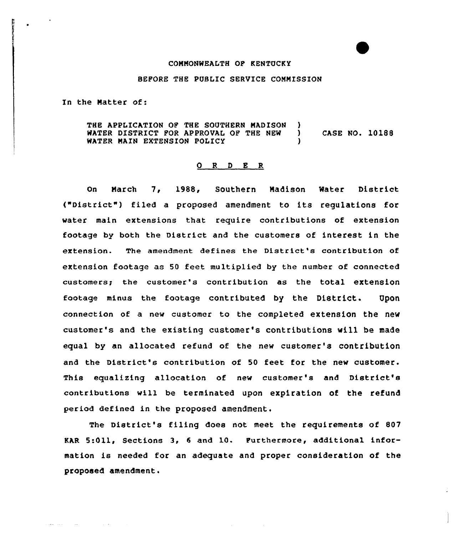## CONNONWEALTH OP KENTUCKY

## BEPORE THE PUBLIC SERVICE COMMISSION

In the Natter of:

and state of the state of the state

THE APPLICATION OF THE SOUTHERN MADISON )<br>WATER DISTRICT FOR APPROVAL OF THE NEW ) WATER DISTRICT FOR APPROVAL OF THE NEW WATER MAIN EXTENSION POLICY CASE NO. 10188

## 0 R <sup>D</sup> E R

On March 7, 1988, Southern Nadison 'Water District ("District" ) filed <sup>a</sup> proposed amendment to its regulations for water main extensions that require contributions of extension footage by both the District and the customers of interest in the extension. The amendment defines the District's contribution of extension footage as 50 feet multiplied by the number of connected customers; the customer's contribution as the total extension footage minus the footage contributed by the District. Upon connection of a new customer to the completed extension the new customer's and the existing customer's contributions will be made equal by an allocated refund of the new customer's contribution and the District's contribution of 50 feet for the new customer. This equalizing allocation of new customer's and District's contributions will be terminated upon expiration of the refund period defined in the proposed amendment.

The District's filing does not meet the requirements of 807 KAR 5:Oll, Sections 3, <sup>6</sup> and 10. Furthermore, additional information is needed for an adequate and proper consideration of the proposed amendment.